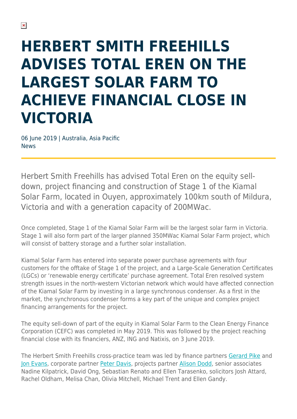## **HERBERT SMITH FREEHILLS ADVISES TOTAL EREN ON THE LARGEST SOLAR FARM TO ACHIEVE FINANCIAL CLOSE IN VICTORIA**

06 June 2019 | Australia, Asia Pacific News

Herbert Smith Freehills has advised Total Eren on the equity selldown, project financing and construction of Stage 1 of the Kiamal Solar Farm, located in Ouyen, approximately 100km south of Mildura, Victoria and with a generation capacity of 200MWac.

Once completed, Stage 1 of the Kiamal Solar Farm will be the largest solar farm in Victoria. Stage 1 will also form part of the larger planned 350MWac Kiamal Solar Farm project, which will consist of battery storage and a further solar installation.

Kiamal Solar Farm has entered into separate power purchase agreements with four customers for the offtake of Stage 1 of the project, and a Large-Scale Generation Certificates (LGCs) or 'renewable energy certificate' purchase agreement. Total Eren resolved system strength issues in the north-western Victorian network which would have affected connection of the Kiamal Solar Farm by investing in a large synchronous condenser. As a first in the market, the synchronous condenser forms a key part of the unique and complex project financing arrangements for the project.

The equity sell-down of part of the equity in Kiamal Solar Farm to the Clean Energy Finance Corporation (CEFC) was completed in May 2019. This was followed by the project reaching financial close with its financiers, ANZ, ING and Natixis, on 3 June 2019.

The Herbert Smith Freehills cross-practice team was led by finance partners [Gerard Pike](https://www.herbertsmithfreehills.com/our-people/gerard-pike) and [Jon Evans,](https://www.herbertsmithfreehills.com/our-people/jon-evans) corporate partner [Peter Davis,](https://www.herbertsmithfreehills.com/our-people/peter-davis) projects partner [Alison Dodd,](https://www.herbertsmithfreehills.com/our-people/alison-dodd) senior associates Nadine Kilpatrick, David Ong, Sebastian Renato and Ellen Tarasenko, solicitors Josh Attard, Rachel Oldham, Melisa Chan, Olivia Mitchell, Michael Trent and Ellen Gandy.